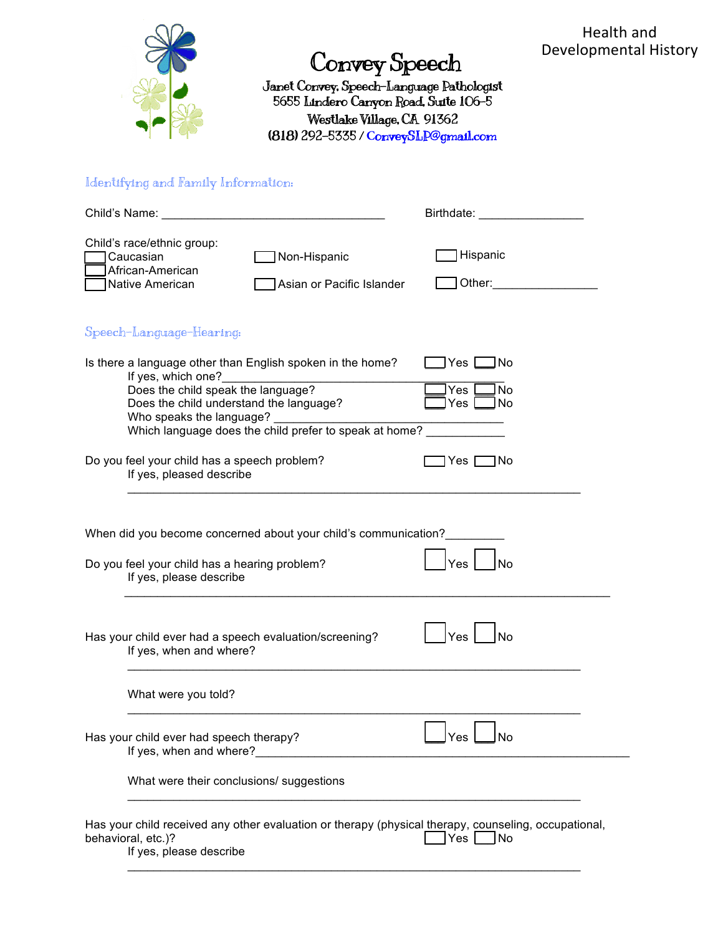

## Convey Speech

Janet Convey, Speech-Language Pathologist 5655 Lindero Canyon Road, Suite 106-5 Westlake Village, CA 91362 (818) 292-5335 / **C**onveySLP@gmail.com

## Identifying and Family Information:

| Child's Name:                                                                                                                                                                                                                                                                                                            | <u> 1989 - Johann Barbara, martxa alemaniar a</u>                                                    | Birthdate: <b>Example 2019</b> |  |  |  |
|--------------------------------------------------------------------------------------------------------------------------------------------------------------------------------------------------------------------------------------------------------------------------------------------------------------------------|------------------------------------------------------------------------------------------------------|--------------------------------|--|--|--|
| Child's race/ethnic group:<br>Caucasian<br>African-American<br>Native American                                                                                                                                                                                                                                           | Non-Hispanic<br>Asian or Pacific Islander                                                            | Hispanic<br>Other:             |  |  |  |
| Speech-Language-Hearing:                                                                                                                                                                                                                                                                                                 |                                                                                                      |                                |  |  |  |
| Is there a language other than English spoken in the home?<br>Yes  <br>l No<br>If yes, which one?<br>It yes, which one?<br>Does the child speak the language?<br>No<br>Yes<br>Does the child understand the language?<br>No<br>Yes<br>Who speaks the language?<br>Which language does the child prefer to speak at home? |                                                                                                      |                                |  |  |  |
| Do you feel your child has a speech problem?<br>If yes, pleased describe                                                                                                                                                                                                                                                 |                                                                                                      | 1No<br>Yes                     |  |  |  |
| When did you become concerned about your child's communication?<br>Yes<br>No<br>Do you feel your child has a hearing problem?<br>If yes, please describe                                                                                                                                                                 |                                                                                                      |                                |  |  |  |
| Yes<br>Has your child ever had a speech evaluation/screening?<br>No<br>If yes, when and where?                                                                                                                                                                                                                           |                                                                                                      |                                |  |  |  |
| What were you told?                                                                                                                                                                                                                                                                                                      |                                                                                                      |                                |  |  |  |
| Has your child ever had speech therapy?<br>If yes, when and where?                                                                                                                                                                                                                                                       |                                                                                                      |                                |  |  |  |
| What were their conclusions/ suggestions                                                                                                                                                                                                                                                                                 |                                                                                                      |                                |  |  |  |
| behavioral, etc.)?<br>If yes, please describe                                                                                                                                                                                                                                                                            | Has your child received any other evaluation or therapy (physical therapy, counseling, occupational, | Yes<br>∣No                     |  |  |  |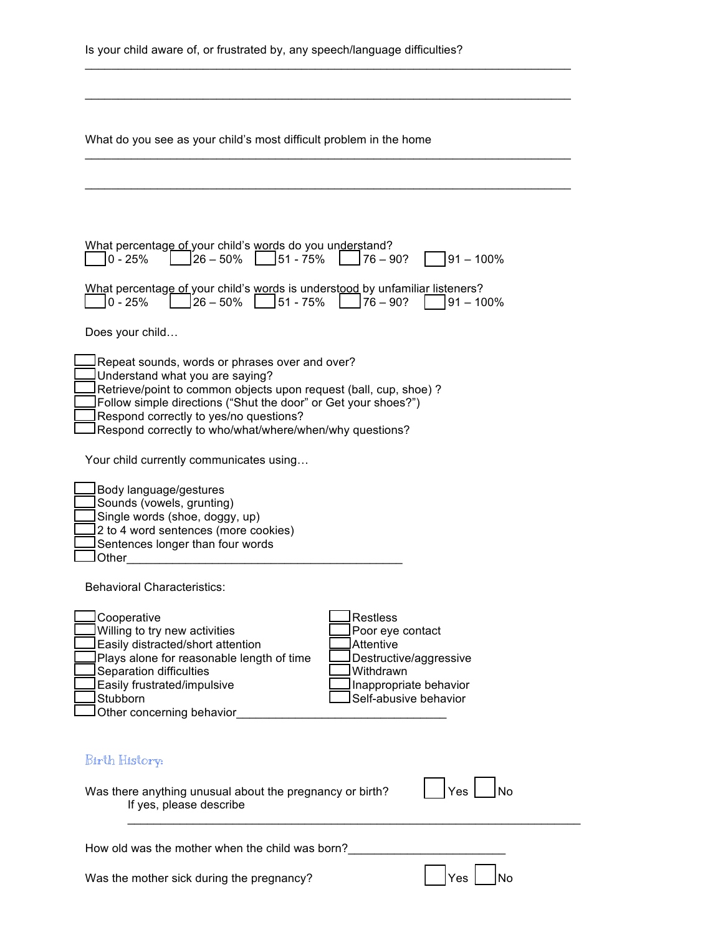| What do you see as your child's most difficult problem in the home                                                                                                                                                                                                                                                                                                              |  |  |  |
|---------------------------------------------------------------------------------------------------------------------------------------------------------------------------------------------------------------------------------------------------------------------------------------------------------------------------------------------------------------------------------|--|--|--|
|                                                                                                                                                                                                                                                                                                                                                                                 |  |  |  |
| What percentage of your child's words do you understand?<br>51 - 75%<br>$76 - 90?$<br>$0 - 25%$<br>$26 - 50%$<br>$91 - 100\%$                                                                                                                                                                                                                                                   |  |  |  |
| What percentage of your child's words is understood by unfamiliar listeners?<br>$26 - 50\%$   $\left  51 - 75\% \right $   $\left  76 - 90\% \right $<br>$0 - 25%$<br>191 – 100%                                                                                                                                                                                                |  |  |  |
| Does your child                                                                                                                                                                                                                                                                                                                                                                 |  |  |  |
| Repeat sounds, words or phrases over and over?<br>Understand what you are saying?<br>Retrieve/point to common objects upon request (ball, cup, shoe) ?<br>Follow simple directions ("Shut the door" or Get your shoes?")<br>Respond correctly to yes/no questions?<br>Respond correctly to who/what/where/when/why questions?                                                   |  |  |  |
| Your child currently communicates using                                                                                                                                                                                                                                                                                                                                         |  |  |  |
| Body language/gestures<br>Sounds (vowels, grunting)<br>Single words (shoe, doggy, up)<br>2 to 4 word sentences (more cookies)<br>Sentences longer than four words<br>Other                                                                                                                                                                                                      |  |  |  |
| Behavioral Characteristics:                                                                                                                                                                                                                                                                                                                                                     |  |  |  |
| <b>Restless</b><br>Cooperative<br>Willing to try new activities<br>Poor eye contact<br>Easily distracted/short attention<br>Attentive<br>Plays alone for reasonable length of time<br>Destructive/aggressive<br>Separation difficulties<br>Withdrawn<br>Easily frustrated/impulsive<br>Inappropriate behavior<br>Self-abusive behavior<br>Stubborn<br>Other concerning behavior |  |  |  |
| Birth History:                                                                                                                                                                                                                                                                                                                                                                  |  |  |  |
| Yes<br><b>No</b><br>Was there anything unusual about the pregnancy or birth?<br>If yes, please describe                                                                                                                                                                                                                                                                         |  |  |  |
| How old was the mother when the child was born?                                                                                                                                                                                                                                                                                                                                 |  |  |  |
| Yes<br>No<br>Was the mother sick during the pregnancy?                                                                                                                                                                                                                                                                                                                          |  |  |  |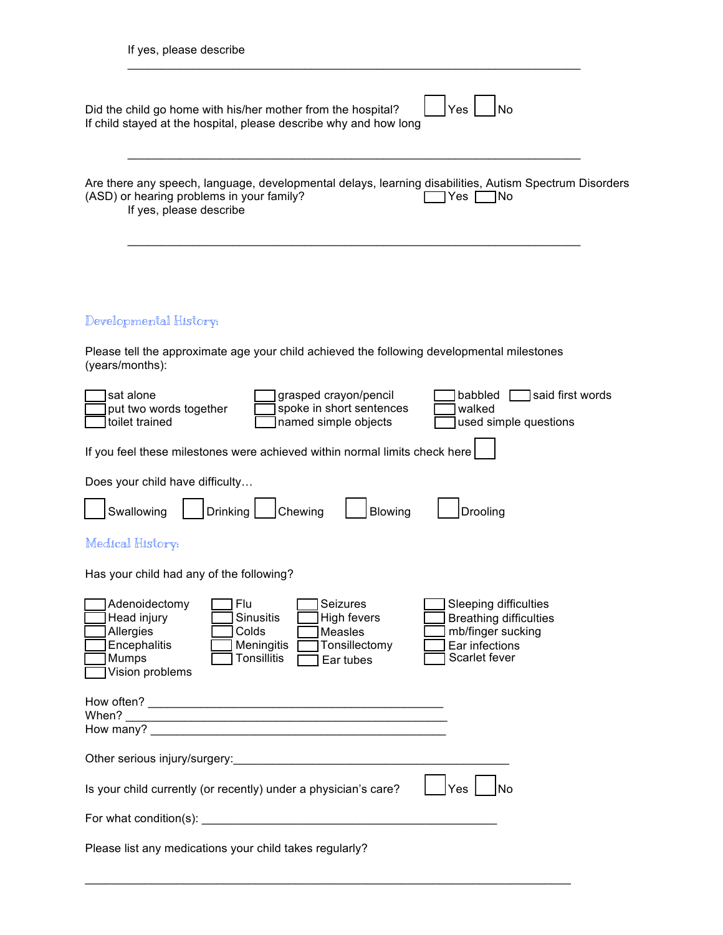| If yes, please describe                                                                                                                                                                                                                                                                                                                             |  |  |  |  |  |
|-----------------------------------------------------------------------------------------------------------------------------------------------------------------------------------------------------------------------------------------------------------------------------------------------------------------------------------------------------|--|--|--|--|--|
| Yes<br><b>No</b><br>Did the child go home with his/her mother from the hospital?<br>If child stayed at the hospital, please describe why and how long                                                                                                                                                                                               |  |  |  |  |  |
| Are there any speech, language, developmental delays, learning disabilities, Autism Spectrum Disorders<br>(ASD) or hearing problems in your family?<br>Yes<br> No<br>If yes, please describe                                                                                                                                                        |  |  |  |  |  |
| Developmental History:                                                                                                                                                                                                                                                                                                                              |  |  |  |  |  |
| Please tell the approximate age your child achieved the following developmental milestones<br>(years/months):                                                                                                                                                                                                                                       |  |  |  |  |  |
| sat alone<br>grasped crayon/pencil<br>said first words<br>babbled<br>spoke in short sentences<br>put two words together<br>walked<br>toilet trained<br>named simple objects<br>used simple questions                                                                                                                                                |  |  |  |  |  |
| If you feel these milestones were achieved within normal limits check here                                                                                                                                                                                                                                                                          |  |  |  |  |  |
| Does your child have difficulty<br>Drinking<br>Swallowing<br>Chewing<br>Blowing<br>Drooling                                                                                                                                                                                                                                                         |  |  |  |  |  |
| Medical History:                                                                                                                                                                                                                                                                                                                                    |  |  |  |  |  |
| Has your child had any of the following?                                                                                                                                                                                                                                                                                                            |  |  |  |  |  |
| Seizures<br>Adenoidectomy<br>Flu<br>Sleeping difficulties<br>Head injury<br><b>Sinusitis</b><br>High fevers<br><b>Breathing difficulties</b><br>mb/finger sucking<br>Allergies<br>Colds<br>Measles<br>Encephalitis<br>Meningitis<br>Tonsillectomy<br>Ear infections<br>Scarlet fever<br>Mumps<br><b>Tonsillitis</b><br>Ear tubes<br>Vision problems |  |  |  |  |  |
|                                                                                                                                                                                                                                                                                                                                                     |  |  |  |  |  |
| Other serious injury/surgery:<br><u> and the contract of the contract of the contract of the contract of the contract of the contract of the contract of the contract of the contract of the contract of the contract of the contr</u>                                                                                                              |  |  |  |  |  |
| Yes<br>Is your child currently (or recently) under a physician's care?<br>No                                                                                                                                                                                                                                                                        |  |  |  |  |  |
|                                                                                                                                                                                                                                                                                                                                                     |  |  |  |  |  |
| Please list any medications your child takes regularly?                                                                                                                                                                                                                                                                                             |  |  |  |  |  |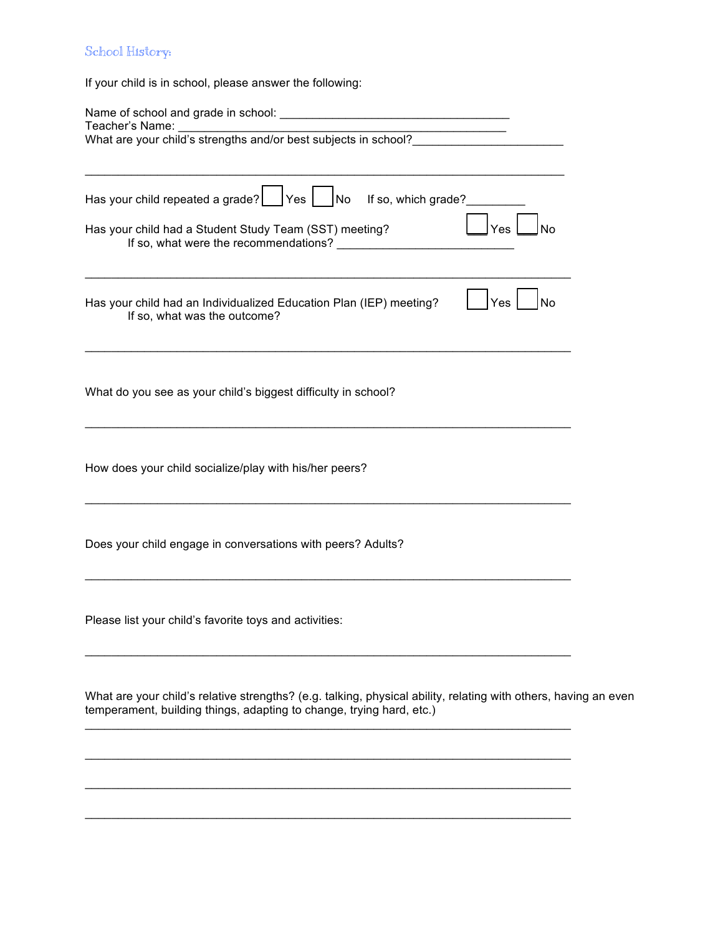## School History:

If your child is in school, please answer the following:

| Has your child repeated a grade? $\Box$ Yes $\Box$ No If so, which grade?<br>Has your child had a Student Study Team (SST) meeting?<br>Yes<br>No                                        |  |  |  |  |
|-----------------------------------------------------------------------------------------------------------------------------------------------------------------------------------------|--|--|--|--|
| Has your child had an Individualized Education Plan (IEP) meeting?<br>Yes<br>No<br>If so, what was the outcome?                                                                         |  |  |  |  |
| What do you see as your child's biggest difficulty in school?                                                                                                                           |  |  |  |  |
| How does your child socialize/play with his/her peers?                                                                                                                                  |  |  |  |  |
| Does your child engage in conversations with peers? Adults?                                                                                                                             |  |  |  |  |
| Please list your child's favorite toys and activities:                                                                                                                                  |  |  |  |  |
| What are your child's relative strengths? (e.g. talking, physical ability, relating with others, having an even<br>temperament, building things, adapting to change, trying hard, etc.) |  |  |  |  |
|                                                                                                                                                                                         |  |  |  |  |

 $\_$  ,  $\_$  ,  $\_$  ,  $\_$  ,  $\_$  ,  $\_$  ,  $\_$  ,  $\_$  ,  $\_$  ,  $\_$  ,  $\_$  ,  $\_$  ,  $\_$  ,  $\_$  ,  $\_$  ,  $\_$  ,  $\_$  ,  $\_$  ,  $\_$  ,  $\_$  ,  $\_$